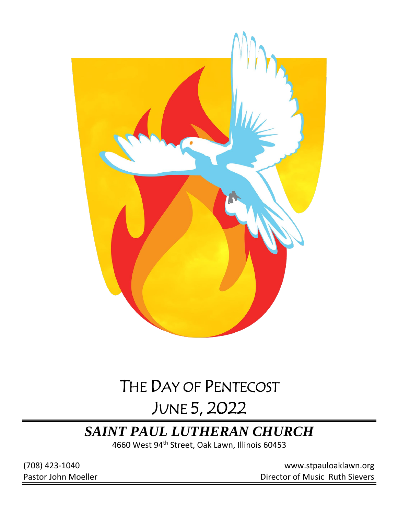

# THE DAY OF PENTECOST JUNE 5, 2022

# *SAINT PAUL LUTHERAN CHURCH*

4660 West 94th Street, Oak Lawn, Illinois 60453

(708) 423-1040 [www.stpauloaklawn.org](about:blank) Pastor John Moeller **Director of Music Ruth Sievers**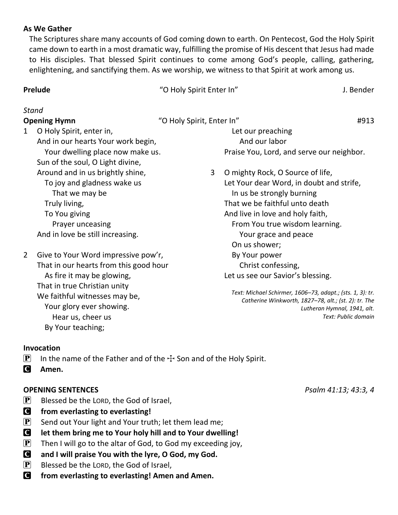### **As We Gather**

The Scriptures share many accounts of God coming down to earth. On Pentecost, God the Holy Spirit came down to earth in a most dramatic way, fulfilling the promise of His descent that Jesus had made to His disciples. That blessed Spirit continues to come among God's people, calling, gathering, enlightening, and sanctifying them. As we worship, we witness to that Spirit at work among us.

**Prelude** The Company of Company of Company of Company of Company of Company of Company of Company of Company of Company of Company of Company of Company of Company of Company of Company of Company of Company of Company of

## *Stand*

**Opening Hymn**  $\blacksquare$   $\blacksquare$   $\blacksquare$   $\blacksquare$   $\blacksquare$   $\blacksquare$   $\blacksquare$   $\blacksquare$   $\blacksquare$   $\blacksquare$   $\blacksquare$   $\blacksquare$   $\blacksquare$   $\blacksquare$   $\blacksquare$   $\blacksquare$   $\blacksquare$   $\blacksquare$   $\blacksquare$   $\blacksquare$   $\blacksquare$   $\blacksquare$   $\blacksquare$   $\blacksquare$   $\blacksquare$   $\blacksquare$   $\blacksquare$   $\blacksquare$   $\blacksquare$   $\blacks$ 

1 O Holy Spirit, enter in, And in our hearts Your work begin, Your dwelling place now make us. Sun of the soul, O Light divine, Around and in us brightly shine, To joy and gladness wake us That we may be Truly living, To You giving Prayer unceasing And in love be still increasing.

2 Give to Your Word impressive pow'r, That in our hearts from this good hour As fire it may be glowing, That in true Christian unity We faithful witnesses may be, Your glory ever showing. Hear us, cheer us By Your teaching;

Praise You, Lord, and serve our neighbor. 3 O mighty Rock, O Source of life, Let Your dear Word, in doubt and strife, In us be strongly burning That we be faithful unto death And live in love and holy faith, From You true wisdom learning. Your grace and peace On us shower; By Your power Christ confessing, Let us see our Savior's blessing.

 Let our preaching And our labor

*Text: Michael Schirmer, 1606–73, adapt.; (sts. 1, 3): tr. Catherine Winkworth, 1827–78, alt.; (st. 2): tr. The Lutheran Hymnal, 1941, alt. Text: Public domain*

#### **Invocation**

- **P** In the name of the Father and of the  $\pm$  Son and of the Holy Spirit.
- C **Amen.**

# **OPENING SENTENCES** *Psalm 41:13; 43:3, 4*

- $\left[ \mathbf{P} \right]$  Blessed be the LORD, the God of Israel,
- C **from everlasting to everlasting!**
- $\left[ \mathbf{P} \right]$  Send out Your light and Your truth; let them lead me;
- C **let them bring me to Your holy hill and to Your dwelling!**
- $\left[\mathbf{P}\right]$  Then I will go to the altar of God, to God my exceeding joy,
- C **and I will praise You with the lyre, O God, my God.**
- $\left[ \mathbf{P} \right]$  Blessed be the LORD, the God of Israel,
- C **from everlasting to everlasting! Amen and Amen.**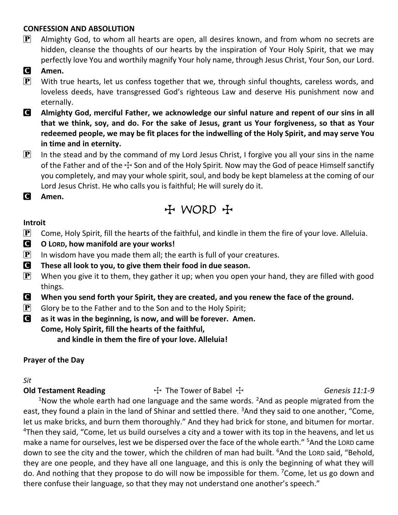### **CONFESSION AND ABSOLUTION**

 $\mathbf{P}$  Almighty God, to whom all hearts are open, all desires known, and from whom no secrets are hidden, cleanse the thoughts of our hearts by the inspiration of Your Holy Spirit, that we may perfectly love You and worthily magnify Your holy name, through Jesus Christ, Your Son, our Lord.

## C **Amen.**

- $\mathbf{P}$  With true hearts, let us confess together that we, through sinful thoughts, careless words, and loveless deeds, have transgressed God's righteous Law and deserve His punishment now and eternally.
- C **Almighty God, merciful Father, we acknowledge our sinful nature and repent of our sins in all that we think, soy, and do. For the sake of Jesus, grant us Your forgiveness, so that as Your redeemed people, we may be fit places for the indwelling of the Holy Spirit, and may serve You in time and in eternity.**
- $\left| \mathbf{P} \right|$  In the stead and by the command of my Lord Jesus Christ, I forgive you all your sins in the name of the Father and of the  $\pm$  Son and of the Holy Spirit. Now may the God of peace Himself sanctify you completely, and may your whole spirit, soul, and body be kept blameless at the coming of our Lord Jesus Christ. He who calls you is faithful; He will surely do it.
- C **Amen.**

# $H$  WORD  $H$

#### **Introit**

- **P** Come, Holy Spirit, fill the hearts of the faithful, and kindle in them the fire of your love. Alleluia.
- C **O LORD, how manifold are your works!**
- **P** In wisdom have you made them all; the earth is full of your creatures.
- C **These all look to you, to give them their food in due season.**
- $\mathbf{P}$  When you give it to them, they gather it up; when you open your hand, they are filled with good things.
- C **When you send forth your Spirit, they are created, and you renew the face of the ground.**
- $\left| \mathbf{P} \right|$  Glory be to the Father and to the Son and to the Holy Spirit;
- C **as it was in the beginning, is now, and will be forever. Amen. Come, Holy Spirit, fill the hearts of the faithful,**

**and kindle in them the fire of your love. Alleluia!**

#### **Prayer of the Day**

#### *Sit*

#### **Old Testament Reading** The Tower of Babel  $\pm$  Genesis 11:1-9

<sup>1</sup>Now the whole earth had one language and the same words. <sup>2</sup>And as people migrated from the east, they found a plain in the land of Shinar and settled there. <sup>3</sup>And they said to one another, "Come, let us make bricks, and burn them thoroughly." And they had brick for stone, and bitumen for mortar. <sup>4</sup>Then they said, "Come, let us build ourselves a city and a tower with its top in the heavens, and let us make a name for ourselves, lest we be dispersed over the face of the whole earth." <sup>5</sup>And the LORD came down to see the city and the tower, which the children of man had built. <sup>6</sup>And the LORD said, "Behold, they are one people, and they have all one language, and this is only the beginning of what they will do. And nothing that they propose to do will now be impossible for them. <sup>7</sup>Come, let us go down and there confuse their language, so that they may not understand one another's speech."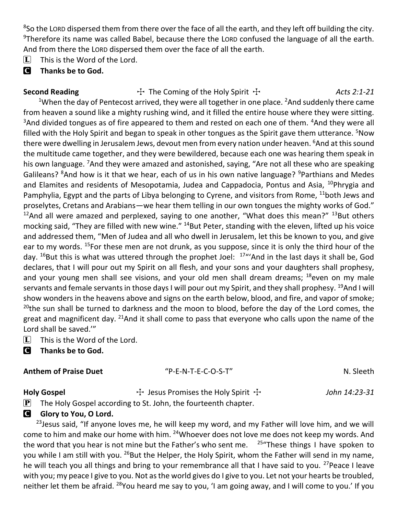8 So the LORD dispersed them from there over the face of all the earth, and they left off building the city. <sup>9</sup>Therefore its name was called Babel, because there the LORD confused the language of all the earth. And from there the LORD dispersed them over the face of all the earth.

 $[\mathbf{L}]$  This is the Word of the Lord.

# C **Thanks be to God.**

Second Reading **The Coming of the Holy Spirit The Coming of the Holy Spirit The Coming of the Holy Spirit Terminane Acts 2:1-21** <sup>1</sup>When the day of Pentecost arrived, they were all together in one place. <sup>2</sup>And suddenly there came from heaven a sound like a mighty rushing wind, and it filled the entire house where they were sitting.  $3$ And divided tongues as of fire appeared to them and rested on each one of them.  $4$ And they were all filled with the Holy Spirit and began to speak in other tongues as the Spirit gave them utterance. <sup>5</sup>Now there were dwelling in Jerusalem Jews, devout men from every nation under heaven. <sup>6</sup>And at this sound the multitude came together, and they were bewildered, because each one was hearing them speak in his own language. <sup>7</sup>And they were amazed and astonished, saying, "Are not all these who are speaking Galileans? <sup>8</sup>And how is it that we hear, each of us in his own native language? <sup>9</sup>Parthians and Medes and Elamites and residents of Mesopotamia, Judea and Cappadocia, Pontus and Asia, <sup>10</sup>Phrygia and Pamphylia, Egypt and the parts of Libya belonging to Cyrene, and visitors from Rome, <sup>11</sup>both Jews and proselytes, Cretans and Arabians—we hear them telling in our own tongues the mighty works of God."  $12$ And all were amazed and perplexed, saying to one another, "What does this mean?"  $13$ But others mocking said, "They are filled with new wine." <sup>14</sup>But Peter, standing with the eleven, lifted up his voice and addressed them, "Men of Judea and all who dwell in Jerusalem, let this be known to you, and give ear to my words. <sup>15</sup>For these men are not drunk, as you suppose, since it is only the third hour of the day.  $^{16}$ But this is what was uttered through the prophet Joel:  $^{17}$ "'And in the last days it shall be, God declares, that I will pour out my Spirit on all flesh, and your sons and your daughters shall prophesy, and your young men shall see visions, and your old men shall dream dreams;  $18$  even on my male servants and female servants in those days I will pour out my Spirit, and they shall prophesy. <sup>19</sup>And I will show wonders in the heavens above and signs on the earth below, blood, and fire, and vapor of smoke; <sup>20</sup>the sun shall be turned to darkness and the moon to blood, before the day of the Lord comes, the great and magnificent day. <sup>21</sup>And it shall come to pass that everyone who calls upon the name of the Lord shall be saved.'"

 $\[\mathbf{\overline{L}}\]$  This is the Word of the Lord.

C **Thanks be to God.**

# **Anthem of Praise Duet** "P-E-N-T-E-C-O-S-T" N. Sleeth

Holy Gospel **The Act of Act Act Act 7 Fesus Promises the Holy Spirit The** *John 14:23-31*  $\mathbf{P}$  The Holy Gospel according to St. John, the fourteenth chapter.

# **G** Glory to You, O Lord.

 $23$  Jesus said, "If anyone loves me, he will keep my word, and my Father will love him, and we will come to him and make our home with him. <sup>24</sup>Whoever does not love me does not keep my words. And the word that you hear is not mine but the Father's who sent me.  $25\%$ These things I have spoken to you while I am still with you. <sup>26</sup>But the Helper, the Holy Spirit, whom the Father will send in my name, he will teach you all things and bring to your remembrance all that I have said to you. <sup>27</sup>Peace I leave with you; my peace I give to you. Not as the world gives do I give to you. Let not your hearts be troubled, neither let them be afraid. <sup>28</sup>You heard me say to you, 'I am going away, and I will come to you.' If you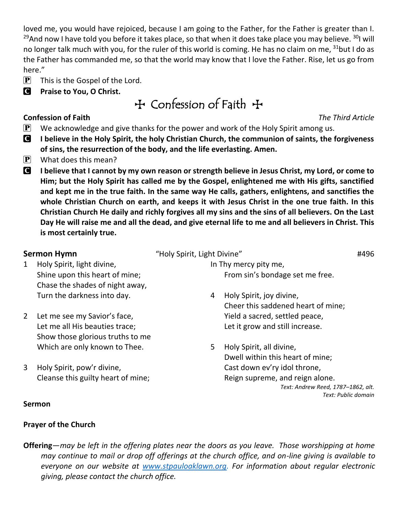loved me, you would have rejoiced, because I am going to the Father, for the Father is greater than I. <sup>29</sup>And now I have told you before it takes place, so that when it does take place you may believe. <sup>30</sup>I will no longer talk much with you, for the ruler of this world is coming. He has no claim on me,  $31$ but I do as the Father has commanded me, so that the world may know that I love the Father. Rise, let us go from here."

- $\mathbf{P}$  This is the Gospel of the Lord.
- C **Praise to You, O Christ.**

# TConfession of Faith T

# **Confession of Faith** *The Third Article*

- $\mathbf{P}$  We acknowledge and give thanks for the power and work of the Holy Spirit among us.
- C **I believe in the Holy Spirit, the holy Christian Church, the communion of saints, the forgiveness of sins, the resurrection of the body, and the life everlasting. Amen.**
- $\left| \mathbf{P} \right|$  What does this mean?
- C **I believe that I cannot by my own reason or strength believe in Jesus Christ, my Lord, or come to Him; but the Holy Spirit has called me by the Gospel, enlightened me with His gifts, sanctified and kept me in the true faith. In the same way He calls, gathers, enlightens, and sanctifies the whole Christian Church on earth, and keeps it with Jesus Christ in the one true faith. In this Christian Church He daily and richly forgives all my sins and the sins of all believers. On the Last Day He will raise me and all the dead, and give eternal life to me and all believers in Christ. This is most certainly true.**

- 1 Holy Spirit, light divine, Shine upon this heart of mine; Chase the shades of night away, Turn the darkness into day.
- 2 Let me see my Savior's face, Let me all His beauties trace; Show those glorious truths to me Which are only known to Thee.
- 3 Holy Spirit, pow'r divine, Cleanse this guilty heart of mine;
- **Sermon Hymn**  $\qquad$  "Holy Spirit, Light Divine"  $\qquad$  #496
	- In Thy mercy pity me, From sin's bondage set me free.
	- 4 Holy Spirit, joy divine, Cheer this saddened heart of mine; Yield a sacred, settled peace, Let it grow and still increase.
	- 5 Holy Spirit, all divine, Dwell within this heart of mine; Cast down ev'ry idol throne, Reign supreme, and reign alone. *Text: Andrew Reed, 1787–1862, alt. Text: Public domain*

# **Sermon**

# **Prayer of the Church**

**Offering**—*may be left in the offering plates near the doors as you leave. Those worshipping at home may continue to mail or drop off offerings at the church office, and on-line giving is available to everyone on our website at [www.stpauloaklawn.org.](http://www.stpauloaklawn.org/) For information about regular electronic giving, please contact the church office.*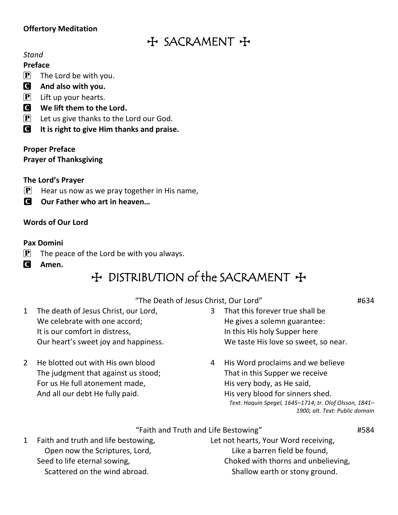# **Offertory Meditation**

# $H$  SACRAMENT +

#### *Stand*

#### **Preface**

 $[P]$  The Lord be with you.

# C **And also with you.**

- $\left[\mathbf{P}\right]$  Lift up your hearts.
- C **We lift them to the Lord.**
- $\mathbf{P}$  Let us give thanks to the Lord our God.
- C **It is right to give Him thanks and praise.**

## **Proper Preface**

**Prayer of Thanksgiving**

## **The Lord's Prayer**

- $\left[ \mathbf{P} \right]$  Hear us now as we pray together in His name,
- **C** Our Father who art in heaven...

# **Words of Our Lord**

## **Pax Domini**

- $\mathbf{P}$  The peace of the Lord be with you always.
- C **Amen.**

# $H$  DISTRIBUTION of the SACRAMENT  $H$

### "The Death of Jesus Christ, Our Lord" #634

- 1 The death of Jesus Christ, our Lord, We celebrate with one accord; It is our comfort in distress, Our heart's sweet joy and happiness.
- 2 He blotted out with His own blood The judgment that against us stood; For us He full atonement made, And all our debt He fully paid.
- 3 That this forever true shall be He gives a solemn guarantee: In this His holy Supper here We taste His love so sweet, so near.
- 4 His Word proclaims and we believe That in this Supper we receive His very body, as He said, His very blood for sinners shed. *Text: Haquin Spegel, 1645–1714; tr. Olof Olsson, 1841– 1900, alt. Text: Public domain*

### "Faith and Truth and Life Bestowing" #584

1 Faith and truth and life bestowing, Open now the Scriptures, Lord, Seed to life eternal sowing, Scattered on the wind abroad.

Let not hearts, Your Word receiving, Like a barren field be found, Choked with thorns and unbelieving, Shallow earth or stony ground.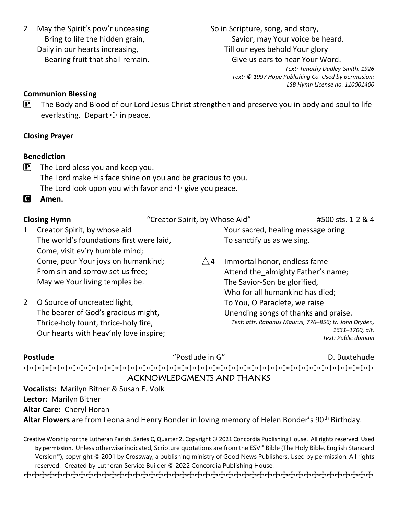2 May the Spirit's pow'r unceasing Bring to life the hidden grain, Daily in our hearts increasing, Bearing fruit that shall remain.

> Thrice-holy fount, thrice-holy fire, Our hearts with heav'nly love inspire;

So in Scripture, song, and story, Savior, may Your voice be heard. Till our eyes behold Your glory Give us ears to hear Your Word. *Text: Timothy Dudley-Smith, 1926 Text: © 1997 Hope Publishing Co. Used by permission:* 

*LSB Hymn License no. 110001400*

### **Communion Blessing**

 $\mathbf{P}$  The Body and Blood of our Lord Jesus Christ strengthen and preserve you in body and soul to life everlasting. Depart  $+$  in peace.

## **Closing Prayer**

### **Benediction**

 $\left| \mathbf{P} \right|$  The Lord bless you and keep you. The Lord make His face shine on you and be gracious to you. The Lord look upon you with favor and  $\pm$  give you peace.

C **Amen.**

| <b>Closing Hymn</b> |                                          | "Creator Spirit, by Whose Aid" |                                      | #500 sts. 1-2 & 4 |
|---------------------|------------------------------------------|--------------------------------|--------------------------------------|-------------------|
| $1 \quad$           | Creator Spirit, by whose aid             |                                | Your sacred, healing message bring   |                   |
|                     | The world's foundations first were laid, |                                | To sanctify us as we sing.           |                   |
|                     | Come, visit ev'ry humble mind;           |                                |                                      |                   |
|                     | Come, pour Your joys on humankind;       | $\wedge$ 4                     | Immortal honor, endless fame         |                   |
|                     | From sin and sorrow set us free;         |                                | Attend the almighty Father's name;   |                   |
|                     | May we Your living temples be.           |                                | The Savior-Son be glorified,         |                   |
|                     |                                          |                                | Who for all humankind has died;      |                   |
|                     | 2 O Source of uncreated light,           |                                | To You, O Paraclete, we raise        |                   |
|                     | The bearer of God's gracious might,      |                                | Unending songs of thanks and praise. |                   |

*Text: attr. Rabanus Maurus, 776–856; tr. John Dryden, 1631–1700, alt. Text: Public domain*

| <b>Postlude</b> | "Postlude in G"            | D. Buxtehude |
|-----------------|----------------------------|--------------|
|                 |                            |              |
|                 | ACKNOWLEDGMENTS AND THANKS |              |

**Vocalists:** Marilyn Bitner & Susan E. Volk **Lector:** Marilyn Bitner **Altar Care:** Cheryl Horan Altar Flowers are from Leona and Henry Bonder in loving memory of Helen Bonder's 90<sup>th</sup> Birthday.

Creative Worship for the Lutheran Parish, Series C, Quarter 2. Copyright © 2021 Concordia Publishing House. All rights reserved. Used by permission. Unless otherwise indicated, Scripture quotations are from the ESV® Bible (The Holy Bible, English Standard Version®), copyright © 2001 by Crossway, a publishing ministry of Good News Publishers. Used by permission. All rights reserved. Created by Lutheran Service Builder © 2022 Concordia Publishing House.

TTTTTTTTTTTTTTTTTTTTTTTTTTTTTTTTTTTTTTTTTTTTT